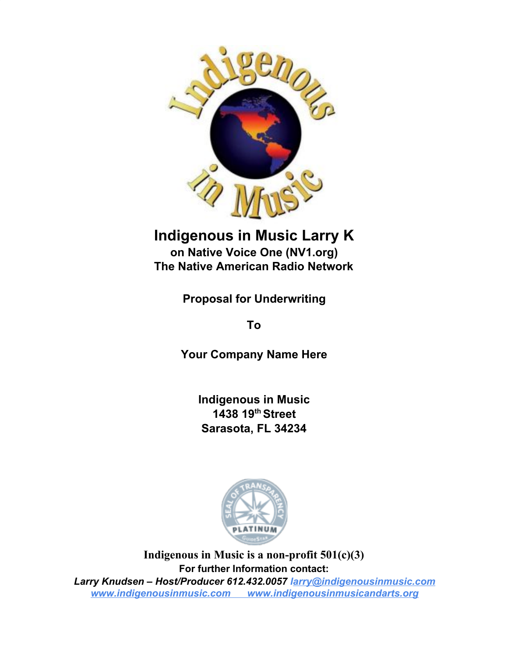

## **Indigenous in Music Larry K**

**on Native Voice One (NV1.org) The Native American Radio Network**

**Proposal for Underwriting**

**To**

**Your Company Name Here**

**Indigenous in Music 1438 19 th Street Sarasota, FL 34234**



**Indigenous in Music is a non-profit 501(c)(3) For further Information contact:** *Larry Knudsen – Host/Producer 612.432.0057 larry@indigenousinmusic.com [www.indigenousinmusic.com](http://www.indigenousinmusic.com/) www.indigenousinmusicandarts.org*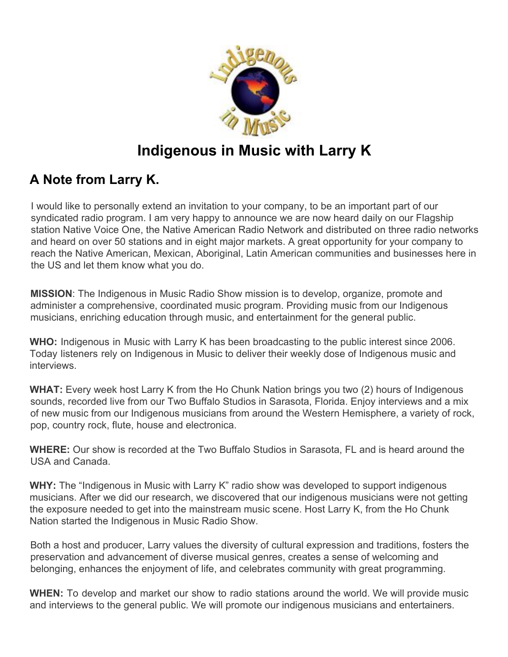

## **Indigenous in Music with Larry K**

### **A Note from Larry K.**

I would like to personally extend an invitation to your company, to be an important part of our syndicated radio program. I am very happy to announce we are now heard daily on our Flagship station Native Voice One, the Native American Radio Network and distributed on three radio networks and heard on over 50 stations and in eight major markets. A great opportunity for your company to reach the Native American, Mexican, Aboriginal, Latin American communities and businesses here in the US and let them know what you do.

**MISSION**: The Indigenous in Music Radio Show mission is to develop, organize, promote and administer a comprehensive, coordinated music program. Providing music from our Indigenous musicians, enriching education through music, and entertainment for the general public.

**WHO:** Indigenous in Music with Larry K has been broadcasting to the public interest since 2006. Today listeners rely on Indigenous in Music to deliver their weekly dose of Indigenous music and interviews.

**WHAT:** Every week host Larry K from the Ho Chunk Nation brings you two (2) hours of Indigenous sounds, recorded live from our Two Buffalo Studios in Sarasota, Florida. Enjoy interviews and a mix of new music from our Indigenous musicians from around the Western Hemisphere, a variety of rock, pop, country rock, flute, house and electronica.

**WHERE:** Our show is recorded at the Two Buffalo Studios in Sarasota, FL and is heard around the USA and Canada.

WHY: The "Indigenous in Music with Larry K" radio show was developed to support indigenous musicians. After we did our research, we discovered that our indigenous musicians were not getting the exposure needed to get into the mainstream music scene. Host Larry K, from the Ho Chunk Nation started the Indigenous in Music Radio Show.

Both a host and producer, Larry values the diversity of cultural expression and traditions, fosters the preservation and advancement of diverse musical genres, creates a sense of welcoming and belonging, enhances the enjoyment of life, and celebrates community with great programming.

**WHEN:** To develop and market our show to radio stations around the world. We will provide music and interviews to the general public. We will promote our indigenous musicians and entertainers.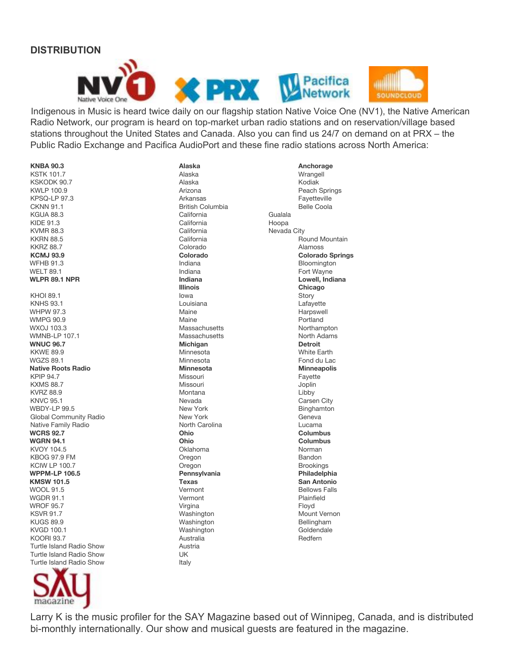#### **DISTRIBUTION**





Indigenous in Music is heard twice daily on our flagship station Native Voice One (NV1), the Native American Radio Network, our program is heard on top-market urban radio stations and on reservation/village based stations throughout the United States and Canada. Also you can find us 24/7 on demand on at PRX – the Public Radio Exchange and Pacifica AudioPort and these fine radio stations across North America:

KSTK 101.7 Alaska Wrangell KSKODK 90.7<br>KWLP 100.9 KPSQ-LP 97.3 Arkansas Fayetteville CKNN 91.1 British Columbia Belle Coola<br>
California Belle Coola<br>
California Gualala KGUA 88.3 California KIDE 91.3 California Company California California Hoopa KVMR 88.3 California California Nevada City KKRN 88.5 California California Round Mountain KKRZ 88.7 Colorado Alamoss **KCMJ 93.9 Colorado Colorado Springs** WFHB 91.3 **Indiana Bloomington** Bloomington WELT 89.1 Indiana Fort Wayne **WLPR 89.1 NPR Indiana Lowell, Indiana** KHOI 89.1 Iowa Story KNHS 93.1 Louisiana Lafayette WHPW 97.3 Maine Harpswell WMPG 90.9 **Maine** Portland Portland Portland Portland Portland Portland Portland Portland Portland Portland Portland Portland Portland Portland Portland Portland Portland Portland Portland Portland Portland Portland Portla WXOJ 103.3 CONSERVITIES MASSACHUSETTS MASSACHUSETTS MANUSCULPED MANUSCULPED MANUSCULPED MANUSCULPED MANUSCULPED MANUSCULPED MANUSCULPED MANUSCULPED MANUSCULPED MANUSCULPED MANUSCULPED MANUSCULPED MANUSCULPED MANUSCULPED MA WMNB-LP 107.1 CHA CHANGE CONSTRUCTED MASSACHUSETTS CONTROLLER IN MORTHLY NOT METAL CONSTRUCTED MANUSCRIPT OF MA **WNUC 96.7 Michigan Detroit** KKWE 89.9 CHA CHANGE IN MINNESOTA CHANGE IN MINNESOTAL CHANGE IN MINNESOTAL MINNESOTAL MINNESOTAL MINNESOTAL MINNESOTAL MINNESOTAL MINNESOTAL MINNESOTAL MINNESOTAL MINNESOTAL MINNESOTAL MINNESOTAL MINNESOTAL MINNESOTAL MIN WGZS 89.1 Minnesota Fond du Lac **Native Roots Radio Minnesota Minneapolis** KPIP 94.7 Missouri Fayette KXMS 88.7 Missouri Joplin KVRZ 88.9 Montana Libby KNVC 95.1 Carsen City WBDY-LP 99.5 New York New York Binghamton Global Community Radio New York New York Geneva Native Family Radio **North Carolina** North Carolina **North Carolina** Lucama **WCRS 92.7 Ohio Columbus WGRN 94.1 Ohio Columbus** KVOY 104.5 Oklahoma Norman KBOG 97.9 FM **Bandon** Bandon Bandon Bandon Bandon Bandon Bandon Bandon Bandon Bandon Bandon Bandon Bandon Bandon KCIW LP 100.7 Oregon Brookings **KMSW 101.5 Texas San Antonio** WOOL 91.5 **Vermont** Communication Communication Communication Communication Communication Communication Communication Communication Communication Communication Communication Communication Communication Communication Commun WGDR 91.1 **Vermont** Plainfield **Plainfield** WROF 95.7 Virgina Floyd KSVR 91.7 CONSERVERSITY MOUNT Washington CONSERVERSITY MOUNT Vernon KUGS 89.9 Washington Bellingham KVGD 100.1 Washington KOORI 93.7 Australia Redfern Turtle Island Radio Show Turtle Island Radio Show UK Turtle Island Radio Show Italy



**KNBA 90.3 Alaska Anchorage Pennsylvania** 

Arizona **Peach Springs Illinois Chicago**

Larry K is the music profiler for the SAY Magazine based out of Winnipeg, Canada, and is distributed bi-monthly internationally. Our show and musical guests are featured in the magazine.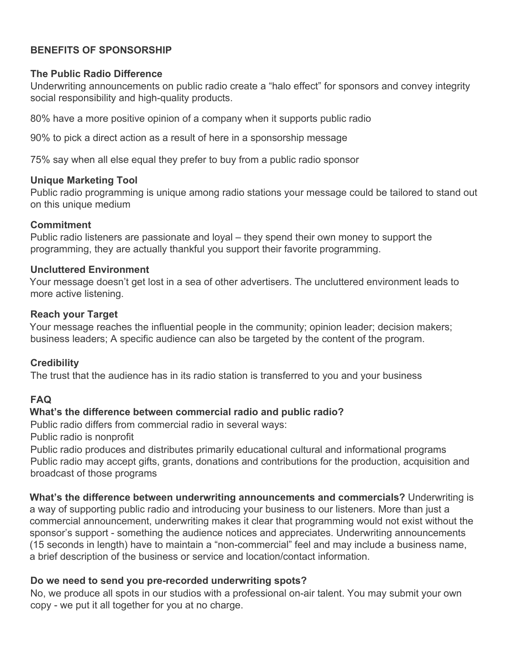#### **BENEFITS OF SPONSORSHIP**

#### **The Public Radio Difference**

Underwriting announcements on public radio create a "halo effect" for sponsors and convey integrity social responsibility and high-quality products.

80% have a more positive opinion of a company when it supports public radio

90% to pick a direct action as a result of here in a sponsorship message

75% say when all else equal they prefer to buy from a public radio sponsor

#### **Unique Marketing Tool**

Public radio programming is unique among radio stations your message could be tailored to stand out on this unique medium

#### **Commitment**

Public radio listeners are passionate and loyal – they spend their own money to support the programming, they are actually thankful you support their favorite programming.

#### **Uncluttered Environment**

Your message doesn't get lost in a sea of other advertisers. The uncluttered environment leads to more active listening.

#### **Reach your Target**

Your message reaches the influential people in the community; opinion leader; decision makers; business leaders; A specific audience can also be targeted by the content of the program.

#### **Credibility**

The trust that the audience has in its radio station is transferred to you and your business

#### **FAQ**

#### **What's the difference between commercial radio and public radio?**

Public radio differs from commercial radio in several ways:

Public radio is nonprofit

Public radio produces and distributes primarily educational cultural and informational programs Public radio may accept gifts, grants, donations and contributions for the production, acquisition and broadcast of those programs

**What's the difference between underwriting announcements and commercials?** Underwriting is a way of supporting public radio and introducing your business to our listeners. More than just a commercial announcement, underwriting makes it clear that programming would not exist without the sponsor's support - something the audience notices and appreciates. Underwriting announcements (15 seconds in length) have to maintain a "non-commercial" feel and may include a business name, a brief description of the business or service and location/contact information.

#### **Do we need to send you pre-recorded underwriting spots?**

No, we produce all spots in our studios with a professional on-air talent. You may submit your own copy - we put it all together for you at no charge.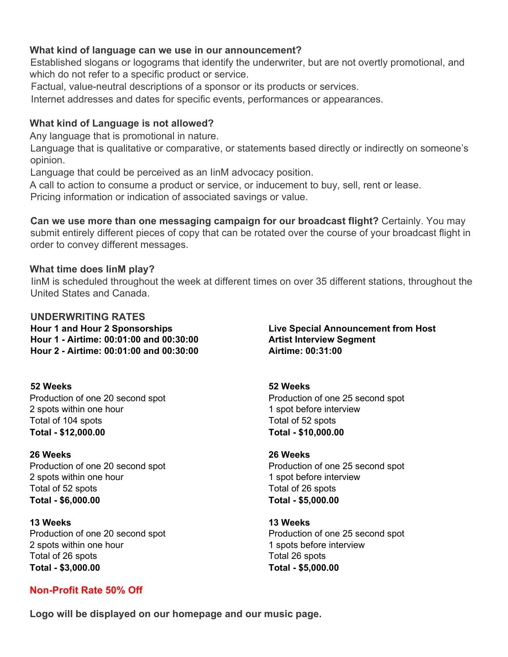#### **What kind of language can we use in our announcement?**

Established slogans or logograms that identify the underwriter, but are not overtly promotional, and which do not refer to a specific product or service.

Factual, value-neutral descriptions of a sponsor or its products or services.

Internet addresses and dates for specific events, performances or appearances.

#### **What kind of Language is not allowed?**

Any language that is promotional in nature.

Language that is qualitative or comparative, or statements based directly or indirectly on someone's opinion.

Language that could be perceived as an IinM advocacy position.

A call to action to consume a product or service, or inducement to buy, sell, rent or lease.

Pricing information or indication of associated savings or value.

**Can we use more than one messaging campaign for our broadcast flight?** Certainly. You may submit entirely different pieces of copy that can be rotated over the course of your broadcast flight in order to convey different messages.

#### **What time does IinM play?**

IinM is scheduled throughout the week at different times on over 35 different stations, throughout the United States and Canada.

**UNDERWRITING RATES Hour 1 and Hour 2 Sponsorships Live Special Announcement from Host Hour 1 - Airtime: 00:01:00 and 00:30:00 Artist Interview Segment Hour 2 - Airtime: 00:01:00 and 00:30:00 Airtime: 00:31:00**

**52 Weeks 52 Weeks** Production of one 20 second spot Production of one 25 second spot 2 spots within one hour 1 spot before interview Total of 104 spots Total of 52 spots **Total - \$12,000.00 Total - \$10,000.00**

**26 Weeks 26 Weeks** Production of one 20 second spot Production of one 25 second spot 2 spots within one hour 1 spot before interview Total of 52 spots Total of 26 spots **Total - \$6,000.00 Total - \$5,000.00**

**13 Weeks 13 Weeks** 2 spots within one hour 1 spots before interview Total of 26 spots Total 26 spots **Total - \$3,000.00 Total - \$5,000.00**

#### **Non-Profit Rate 50% Off**

Production of one 20 second spot Production of one 25 second spot

**Logo will be displayed on our homepage and our music page.**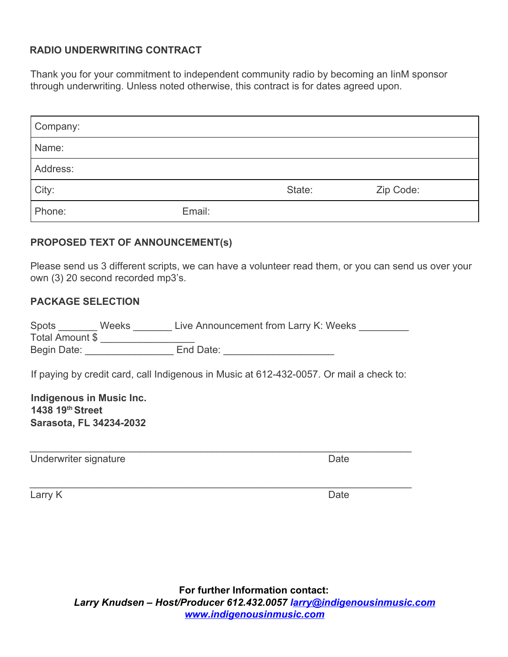#### **RADIO UNDERWRITING CONTRACT**

Thank you for your commitment to independent community radio by becoming an IinM sponsor through underwriting. Unless noted otherwise, this contract is for dates agreed upon.

| Company: |        |        |           |
|----------|--------|--------|-----------|
| Name:    |        |        |           |
| Address: |        |        |           |
| City:    |        | State: | Zip Code: |
| Phone:   | Email: |        |           |

#### **PROPOSED TEXT OF ANNOUNCEMENT(s)**

Please send us 3 different scripts, we can have a volunteer read them, or you can send us over your own (3) 20 second recorded mp3's.

#### **PACKAGE SELECTION**

| Spots           | <b>Weeks</b> | Live Announcement from Larry K: Weeks |  |
|-----------------|--------------|---------------------------------------|--|
| Total Amount \$ |              |                                       |  |
| Begin Date:     |              | End Date:                             |  |

If paying by credit card, call Indigenous in Music at 612-432-0057. Or mail a check to:

\_\_\_\_\_\_\_\_\_\_\_\_\_\_\_\_\_\_\_\_\_\_\_\_\_\_\_\_\_\_\_\_\_\_\_\_\_\_\_\_\_\_\_\_\_\_\_\_\_\_\_\_\_\_\_\_\_\_\_\_\_\_\_\_\_\_\_\_\_

\_\_\_\_\_\_\_\_\_\_\_\_\_\_\_\_\_\_\_\_\_\_\_\_\_\_\_\_\_\_\_\_\_\_\_\_\_\_\_\_\_\_\_\_\_\_\_\_\_\_\_\_\_\_\_\_\_\_\_\_\_\_\_\_\_\_\_\_\_

**Indigenous in Music Inc. 1438 19th Street Sarasota, FL 34234-2032**

Underwriter signature **Date** 

Larry K Date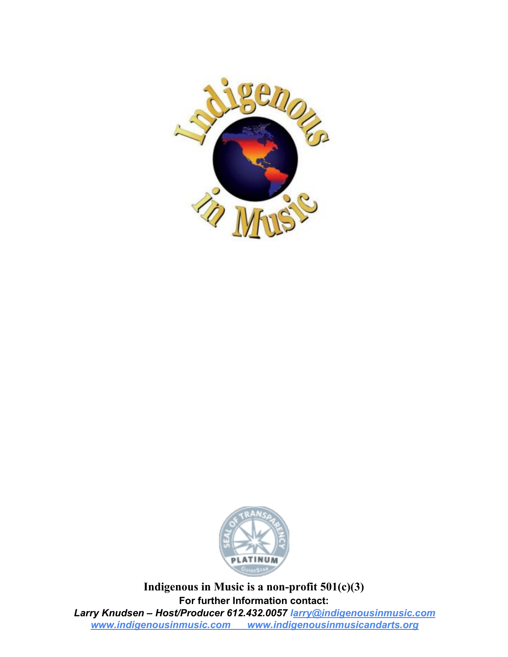



**Indigenous in Music is a non-profit 501(c)(3) For further Information contact:** *Larry Knudsen – Host/Producer 612.432.0057 larry@indigenousinmusic.com [www.indigenousinmusic.com](http://www.indigenousinmusic.com/) www.indigenousinmusicandarts.org*